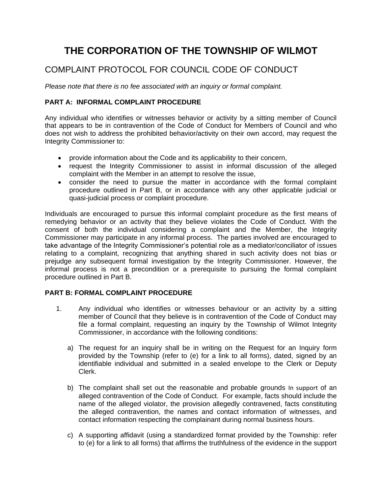# **THE CORPORATION OF THE TOWNSHIP OF WILMOT**

# COMPLAINT PROTOCOL FOR COUNCIL CODE OF CONDUCT

*Please note that there is no fee associated with an inquiry or formal complaint.*

# **PART A: INFORMAL COMPLAINT PROCEDURE**

Any individual who identifies or witnesses behavior or activity by a sitting member of Council that appears to be in contravention of the Code of Conduct for Members of Council and who does not wish to address the prohibited behavior/activity on their own accord, may request the Integrity Commissioner to:

- provide information about the Code and its applicability to their concern,
- request the Integrity Commissioner to assist in informal discussion of the alleged complaint with the Member in an attempt to resolve the issue,
- consider the need to pursue the matter in accordance with the formal complaint procedure outlined in Part B, or in accordance with any other applicable judicial or quasi-judicial process or complaint procedure.

Individuals are encouraged to pursue this informal complaint procedure as the first means of remedying behavior or an activity that they believe violates the Code of Conduct. With the consent of both the individual considering a complaint and the Member, the Integrity Commissioner may participate in any informal process. The parties involved are encouraged to take advantage of the Integrity Commissioner's potential role as a mediator/conciliator of issues relating to a complaint, recognizing that anything shared in such activity does not bias or prejudge any subsequent formal investigation by the Integrity Commissioner. However, the informal process is not a precondition or a prerequisite to pursuing the formal complaint procedure outlined in Part B.

# **PART B: FORMAL COMPLAINT PROCEDURE**

- 1. Any individual who identifies or witnesses behaviour or an activity by a sitting member of Council that they believe is in contravention of the Code of Conduct may file a formal complaint, requesting an inquiry by the Township of Wilmot Integrity Commissioner, in accordance with the following conditions:
	- a) The request for an inquiry shall be in writing on the Request for an Inquiry form provided by the Township (refer to (e) for a link to all forms), dated, signed by an identifiable individual and submitted in a sealed envelope to the Clerk or Deputy Clerk.
	- b) The complaint shall set out the reasonable and probable grounds In support of an alleged contravention of the Code of Conduct. For example, facts should include the name of the alleged violator, the provision allegedly contravened, facts constituting the alleged contravention, the names and contact information of witnesses, and contact information respecting the complainant during normal business hours.
	- c) A supporting affidavit (using a standardized format provided by the Township: refer to (e) for a link to all forms) that affirms the truthfulness of the evidence in the support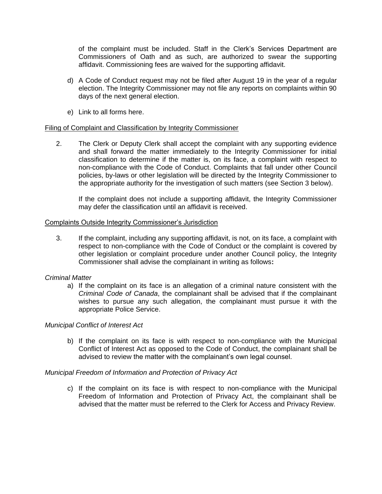of the complaint must be included. Staff in the Clerk's Services Department are Commissioners of Oath and as such, are authorized to swear the supporting affidavit. Commissioning fees are waived for the supporting affidavit.

- d) A Code of Conduct request may not be filed after August 19 in the year of a regular election. The Integrity Commissioner may not file any reports on complaints within 90 days of the next general election.
- e) Link to all forms here.

# Filing of Complaint and Classification by Integrity Commissioner

2. The Clerk or Deputy Clerk shall accept the complaint with any supporting evidence and shall forward the matter immediately to the Integrity Commissioner for initial classification to determine if the matter is, on its face, a complaint with respect to non-compliance with the Code of Conduct. Complaints that fall under other Council policies, by-laws or other legislation will be directed by the Integrity Commissioner to the appropriate authority for the investigation of such matters (see Section 3 below).

If the complaint does not include a supporting affidavit, the Integrity Commissioner may defer the classification until an affidavit is received.

# Complaints Outside Integrity Commissioner's Jurisdiction

3. If the complaint, including any supporting affidavit, is not, on its face, a complaint with respect to non-compliance with the Code of Conduct or the complaint is covered by other legislation or complaint procedure under another Council policy, the Integrity Commissioner shall advise the complainant in writing as follows**:**

# *Criminal Matter*

a) If the complaint on its face is an allegation of a criminal nature consistent with the *Criminal Code of Canada*, the complainant shall be advised that if the complainant wishes to pursue any such allegation, the complainant must pursue it with the appropriate Police Service.

# *Municipal Conflict of Interest Act*

b) If the complaint on its face is with respect to non-compliance with the Municipal Conflict of Interest Act as opposed to the Code of Conduct, the complainant shall be advised to review the matter with the complainant's own legal counsel.

# *Municipal Freedom of Information and Protection of Privacy Act*

c) If the complaint on its face is with respect to non-compliance with the Municipal Freedom of Information and Protection of Privacy Act, the complainant shall be advised that the matter must be referred to the Clerk for Access and Privacy Review.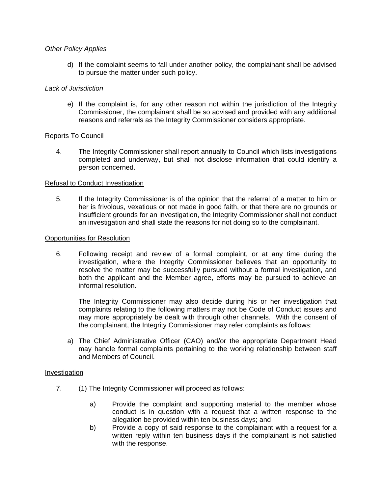# *Other Policy Applies*

d) If the complaint seems to fall under another policy, the complainant shall be advised to pursue the matter under such policy.

# *Lack of Jurisdiction*

e) If the complaint is, for any other reason not within the jurisdiction of the Integrity Commissioner, the complainant shall be so advised and provided with any additional reasons and referrals as the Integrity Commissioner considers appropriate.

# Reports To Council

4. The Integrity Commissioner shall report annually to Council which lists investigations completed and underway, but shall not disclose information that could identify a person concerned.

# Refusal to Conduct Investigation

5. If the Integrity Commissioner is of the opinion that the referral of a matter to him or her is frivolous, vexatious or not made in good faith, or that there are no grounds or insufficient grounds for an investigation, the Integrity Commissioner shall not conduct an investigation and shall state the reasons for not doing so to the complainant.

# Opportunities for Resolution

6. Following receipt and review of a formal complaint, or at any time during the investigation, where the Integrity Commissioner believes that an opportunity to resolve the matter may be successfully pursued without a formal investigation, and both the applicant and the Member agree, efforts may be pursued to achieve an informal resolution.

The Integrity Commissioner may also decide during his or her investigation that complaints relating to the following matters may not be Code of Conduct issues and may more appropriately be dealt with through other channels. With the consent of the complainant, the Integrity Commissioner may refer complaints as follows:

a) The Chief Administrative Officer (CAO) and/or the appropriate Department Head may handle formal complaints pertaining to the working relationship between staff and Members of Council.

# Investigation

- 7. (1) The Integrity Commissioner will proceed as follows:
	- a) Provide the complaint and supporting material to the member whose conduct is in question with a request that a written response to the allegation be provided within ten business days; and
	- b) Provide a copy of said response to the complainant with a request for a written reply within ten business days if the complainant is not satisfied with the response.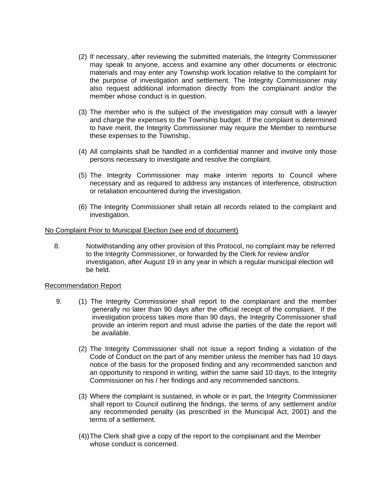- (2) If necessary, after reviewing the submitted materials, the Integrity Commissioner may speak to anyone, access and examine any other documents or electronic materials and may enter any Township work location relative to the complaint for the purpose of investigation and settlement. The Integrity Commissioner may also request additional information directly from the complainant and/or the member whose conduct is in question.
- (3) The member who is the subject of the investigation may consult with a lawyer and charge the expenses to the Township budget. If the complaint is determined to have merit, the Integrity Commissioner may require the Member to reimburse these expenses to the Township.
- (4) All complaints shall be handled in a confidential manner and involve only those persons necessary to investigate and resolve the complaint.
- (5) The Integrity Commissioner may make interim reports to Council where necessary and as required to address any instances of interference, obstruction or retaliation encountered during the investigation.
- (6) The Integrity Commissioner shall retain all records related to the complaint and investigation.

#### No Complaint Prior to Municipal Election (see end of document)

8. Notwithstanding any other provision of this Protocol, no complaint may be referred to the Integrity Commissioner, or forwarded by the Clerk for review and/or investigation, after August 19 in any year in which a regular municipal election will be held.

# Recommendation Report

- 9. (1) The Integrity Commissioner shall report to the complainant and the member generally no later than 90 days after the official receipt of the complaint. If the investigation process takes more than 90 days, the Integrity Commissioner shall provide an interim report and must advise the parties of the date the report will be available.
	- (2) The Integrity Commissioner shall not issue a report finding a violation of the Code of Conduct on the part of any member unless the member has had 10 days notice of the basis for the proposed finding and any recommended sanction and an opportunity to respond in writing, within the same said 10 days, to the Integrity Commissioner on his / her findings and any recommended sanctions.
	- (3) Where the complaint is sustained, in whole or in part, the Integrity Commissioner shall report to Council outlining the findings, the terms of any settlement and/or any recommended penalty (as prescribed in the Municipal Act, 2001) and the terms of a settlement.
	- (4))The Clerk shall give a copy of the report to the complainant and the Member whose conduct is concerned.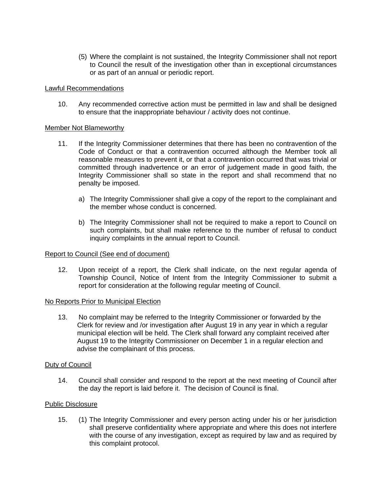(5) Where the complaint is not sustained, the Integrity Commissioner shall not report to Council the result of the investigation other than in exceptional circumstances or as part of an annual or periodic report.

# Lawful Recommendations

10. Any recommended corrective action must be permitted in law and shall be designed to ensure that the inappropriate behaviour / activity does not continue.

# Member Not Blameworthy

- 11. If the Integrity Commissioner determines that there has been no contravention of the Code of Conduct or that a contravention occurred although the Member took all reasonable measures to prevent it, or that a contravention occurred that was trivial or committed through inadvertence or an error of judgement made in good faith, the Integrity Commissioner shall so state in the report and shall recommend that no penalty be imposed.
	- a) The Integrity Commissioner shall give a copy of the report to the complainant and the member whose conduct is concerned.
	- b) The Integrity Commissioner shall not be required to make a report to Council on such complaints, but shall make reference to the number of refusal to conduct inquiry complaints in the annual report to Council.

# Report to Council (See end of document)

12. Upon receipt of a report, the Clerk shall indicate, on the next regular agenda of Township Council, Notice of Intent from the Integrity Commissioner to submit a report for consideration at the following regular meeting of Council.

# No Reports Prior to Municipal Election

13. No complaint may be referred to the Integrity Commissioner or forwarded by the Clerk for review and /or investigation after August 19 in any year in which a regular municipal election will be held. The Clerk shall forward any complaint received after August 19 to the Integrity Commissioner on December 1 in a regular election and advise the complainant of this process.

# Duty of Council

14. Council shall consider and respond to the report at the next meeting of Council after the day the report is laid before it. The decision of Council is final.

# Public Disclosure

15. (1) The Integrity Commissioner and every person acting under his or her jurisdiction shall preserve confidentiality where appropriate and where this does not interfere with the course of any investigation, except as required by law and as required by this complaint protocol.